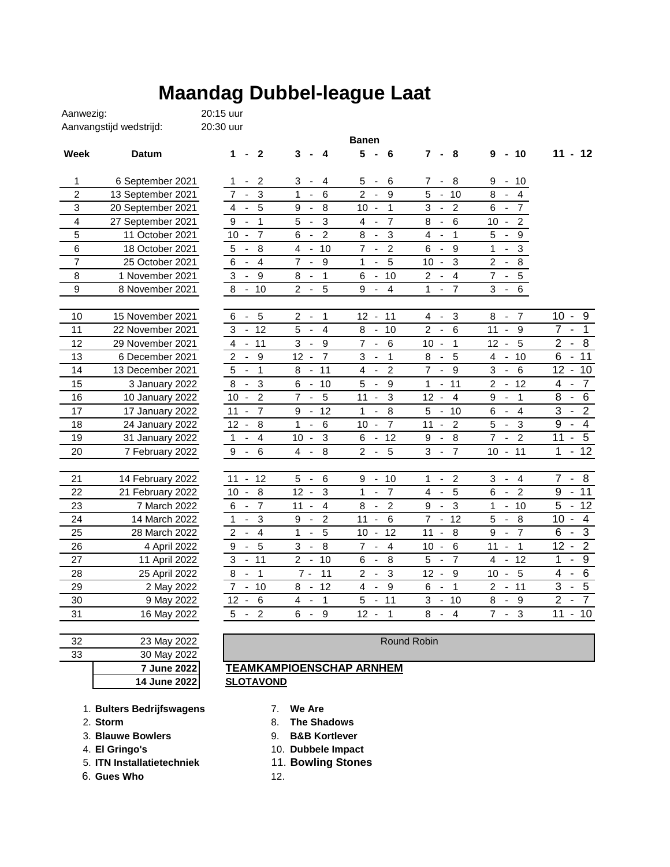## **Maandag Dubbel-league Laat**

| Aanvangstijd wedstrijd:<br>20:30 uur |                   |                                                    |                                                            |                                                            |                                                              |                                                   |                                                              |
|--------------------------------------|-------------------|----------------------------------------------------|------------------------------------------------------------|------------------------------------------------------------|--------------------------------------------------------------|---------------------------------------------------|--------------------------------------------------------------|
|                                      |                   |                                                    |                                                            | <b>Banen</b>                                               |                                                              |                                                   |                                                              |
| Week                                 | Datum             | $\overline{2}$<br>$\mathbf{1}$<br>$\blacksquare$   | 3<br>4<br>$\blacksquare$                                   | 5 <sup>5</sup><br>6<br>$\blacksquare$                      | $\mathbf{7}$<br>8<br>$\blacksquare$                          | $-10$<br>9                                        | $11 - 12$                                                    |
| 1                                    | 6 September 2021  | $\overline{\mathbf{c}}$<br>1                       | 3<br>$\overline{4}$<br>$\blacksquare$                      | 5<br>$\,6$<br>$\blacksquare$                               | 7<br>- 8                                                     | 9<br>10<br>$\sim$                                 |                                                              |
| $\overline{2}$                       | 13 September 2021 | 3<br>7                                             | $6\phantom{1}6$<br>1                                       | $\overline{2}$<br>9<br>ä,                                  | 5<br>$-10$                                                   | 8<br>$\overline{4}$                               |                                                              |
| 3                                    | 20 September 2021 | 5<br>4<br>$\blacksquare$                           | 8<br>9<br>$\blacksquare$                                   | $\mathbf{1}$<br>10<br>$\overline{\phantom{a}}$             | $\overline{c}$<br>3                                          | 6<br>$\overline{7}$<br>$\blacksquare$             |                                                              |
| 4                                    | 27 September 2021 | $\overline{1}$<br>9<br>$\blacksquare$              | 5<br>3                                                     | $\overline{7}$<br>4<br>$\overline{\phantom{a}}$            | $6\phantom{1}6$<br>8                                         | $\overline{c}$<br>10<br>$\blacksquare$            |                                                              |
| 5                                    | 11 October 2021   | $\overline{7}$<br>10<br>$\overline{\phantom{a}}$   | $\overline{c}$<br>6                                        | $\mathsf 3$<br>8                                           | $\mathbf{1}$<br>4<br>$\Box$                                  | 5<br>$\boldsymbol{9}$                             |                                                              |
| 6                                    | 18 October 2021   | 8<br>5<br>$\overline{\phantom{a}}$                 | 10<br>$\overline{4}$<br>G,                                 | $\overline{7}$<br>$\overline{c}$<br>$\sim$                 | $6\phantom{a}$<br>9                                          | $\mathbf{1}$<br>$\mathsf 3$                       |                                                              |
| $\overline{7}$                       | 25 October 2021   | $\overline{4}$<br>6<br>$\overline{\phantom{a}}$    | $\overline{7}$<br>9<br>$\overline{\phantom{a}}$            | 5<br>1<br>$\mathbb{Z}$                                     | 3<br>10<br>$\sim$                                            | $\overline{2}$<br>$\,8\,$                         |                                                              |
| 8                                    | 1 November 2021   | 3<br>$9\,$<br>$\overline{\phantom{a}}$             | $\mathbf{1}$<br>8<br>$\overline{\phantom{a}}$              | 10<br>6<br>$\blacksquare$                                  | $\overline{4}$<br>$\overline{c}$<br>$\overline{\phantom{a}}$ | 7<br>$\mathbf 5$<br>$\blacksquare$                |                                                              |
| 9                                    | 8 November 2021   | 8<br>10<br>$\sim$                                  | 5<br>$\overline{2}$<br>$\blacksquare$                      | $\overline{4}$<br>9<br>$\overline{\phantom{a}}$            | 1<br>$\overline{7}$<br>$\blacksquare$                        | $\,6\,$<br>3<br>$\overline{\phantom{a}}$          |                                                              |
| 10                                   | 15 November 2021  | 5<br>6<br>$\blacksquare$                           | $\overline{c}$<br>1<br>$\overline{\phantom{a}}$            | 11<br>12<br>$\sim$                                         | $\sqrt{3}$<br>4<br>$\overline{\phantom{a}}$                  | 8<br>$\overline{7}$<br>$\overline{\phantom{a}}$   | $10 -$<br>9                                                  |
| 11                                   | 22 November 2021  | $-12$<br>3                                         | 5<br>$\overline{4}$                                        | 8<br>10<br>$\overline{\phantom{a}}$                        | $\overline{2}$<br>$6\phantom{a}$<br>$\blacksquare$           | 9<br>11<br>$\blacksquare$                         | 7<br>$\mathbf{1}$                                            |
| 12                                   | 29 November 2021  | 4<br>$-11$                                         | 3<br>9<br>$\blacksquare$                                   | $\overline{7}$<br>$6\phantom{a}$<br>$\omega$               | 10<br>$\mathbf{1}$<br>$\overline{\phantom{a}}$               | 5<br>12<br>$\overline{\phantom{a}}$               | $\overline{2}$<br>8<br>$\overline{\phantom{a}}$              |
| 13                                   | 6 December 2021   | $\overline{2}$<br>$\overline{9}$<br>$\blacksquare$ | $\overline{7}$<br>12<br>$\blacksquare$                     | $\mathbf{1}$<br>3<br>$\sim$                                | 5<br>8<br>$\blacksquare$                                     | $-10$<br>4                                        | $\overline{6}$<br>$\overline{11}$<br>$\blacksquare$          |
| 14                                   | 13 December 2021  | $\overline{1}$<br>$\sqrt{5}$<br>$\blacksquare$     | 11<br>8<br>$\blacksquare$                                  | $\overline{c}$<br>4<br>$\blacksquare$                      | $\overline{7}$<br>9<br>$\blacksquare$                        | 3<br>$\,6$<br>$\overline{\phantom{a}}$            | $12 -$<br>10                                                 |
| 15                                   | 3 January 2022    | 3<br>8<br>$\blacksquare$                           | 10<br>6<br>$\blacksquare$                                  | $\boldsymbol{9}$<br>5<br>$\blacksquare$                    | 1<br>11<br>$\blacksquare$                                    | 12<br>$\overline{c}$<br>$\mathbb{Z}$              | $\overline{7}$<br>4<br>$\blacksquare$                        |
| 16                                   | 10 January 2022   | $\overline{2}$<br>$10 -$                           | $\overline{7}$<br>5<br>$\overline{\phantom{a}}$            | 11<br>$\mathsf 3$<br>$\blacksquare$                        | $\overline{4}$<br>12<br>$\overline{\phantom{a}}$             | $\mathbf{1}$<br>9<br>$\blacksquare$               | 6<br>8<br>$\overline{\phantom{a}}$                           |
| 17                                   | 17 January 2022   | $\overline{7}$<br>11<br>$\overline{\phantom{a}}$   | 12<br>9<br>$\blacksquare$                                  | 8<br>1<br>$\overline{\phantom{a}}$                         | 5<br>10<br>$\blacksquare$                                    | $\overline{4}$<br>6<br>$\sim$                     | $\overline{2}$<br>3<br>$\blacksquare$                        |
| 18                                   | 24 January 2022   | 8<br>$12 -$                                        | $\mathbf{1}$<br>$6\phantom{1}$<br>$\overline{\phantom{a}}$ | $\overline{7}$<br>10<br>$\overline{\phantom{a}}$           | 11<br>$\overline{c}$<br>$\blacksquare$                       | 5<br>$\mathbf{3}$<br>$\sim$                       | $\overline{4}$<br>9<br>$\blacksquare$                        |
| 19                                   | 31 January 2022   | $\overline{4}$<br>$\mathbf 1$<br>$\sim$            | $\mathbf{3}$<br>10<br>$\overline{\phantom{a}}$             | 12<br>6<br>$\blacksquare$                                  | 8<br>$\boldsymbol{9}$<br>$\blacksquare$                      | $\overline{7}$<br>$\overline{2}$<br>$\sim$        | $\overline{5}$<br>11<br>$\blacksquare$                       |
| 20                                   | 7 February 2022   | 9<br>6<br>$\sim$                                   | 8<br>$\overline{4}$<br>$\overline{\phantom{a}}$            | $\overline{2}$<br>5                                        | 3<br>$\overline{7}$<br>$\blacksquare$                        | $10 - 11$                                         | $\overline{12}$<br>1<br>$\blacksquare$                       |
|                                      |                   |                                                    |                                                            |                                                            |                                                              |                                                   |                                                              |
| 21                                   | 14 February 2022  | $11 -$<br>12                                       | 5<br>$\,6$<br>$\sim$                                       | 10<br>9<br>$\sim$                                          | $\overline{c}$<br>1<br>$\blacksquare$                        | 3<br>$\overline{4}$<br>$\overline{\phantom{a}}$   | $-8$<br>$\overline{7}$                                       |
| 22                                   | 21 February 2022  | 8<br>$10 -$                                        | $\mathbf{3}$<br>$12 -$                                     | $\overline{7}$<br>1<br>$\blacksquare$                      | 5<br>$\overline{\mathbf{4}}$<br>$\blacksquare$               | 6<br>$\overline{2}$<br>$\blacksquare$             | $-11$<br>9                                                   |
| 23                                   | 7 March 2022      | $\overline{7}$<br>6<br>$\overline{\phantom{a}}$    | $11 - 4$                                                   | $\sqrt{2}$<br>8<br>$\overline{\phantom{a}}$                | $\mathbf{3}$<br>9<br>$\overline{\phantom{a}}$                | $-10$<br>1                                        | 5<br>$-12$                                                   |
| 24                                   | 14 March 2022     | $\mathbf{3}$<br>$1 -$                              | $\overline{c}$<br>9<br>$\sim$                              | $\,6$<br>$11 -$                                            | $7 - 12$                                                     | 5<br>$\, 8$<br>$\sim$                             | $10 - 4$                                                     |
| 25                                   | 28 March 2022     | $-4$<br>$\overline{2}$                             | 5<br>$\mathbf{1}$<br>$\overline{\phantom{a}}$              | 12<br>10<br>$\sim$                                         | 11<br>8<br>$\sim$                                            | $\overline{7}$<br>9<br>$\overline{\phantom{a}}$   | $\overline{3}$<br>$\overline{6}$<br>$\blacksquare$           |
| 26                                   | 4 April 2022      | 5<br>9<br>$\sim$                                   | 3<br>8<br>$\overline{\phantom{a}}$                         | $\overline{7}$<br>$\overline{a}$<br>÷.                     | $6\phantom{1}6$<br>$10 -$                                    | 11<br>$\mathbf{1}$<br>$\overline{\phantom{a}}$    | $\overline{2}$<br>$\overline{12}$ -                          |
| 27                                   | 11 April 2022     | $-11$<br>3                                         | $2 -$<br>10                                                | 8<br>6<br>$\overline{\phantom{a}}$                         | 5<br>$\overline{7}$<br>$\overline{\phantom{a}}$              | 12<br>4<br>$\overline{\phantom{a}}$               | $\overline{9}$<br>1<br>$\overline{\phantom{a}}$              |
| 28                                   | 25 April 2022     | $\overline{\phantom{1}}$<br>8<br>$\sim$            | 11<br>$7 -$                                                | $\mathbf{3}$<br>$\overline{2}$<br>$\overline{\phantom{a}}$ | $12 -$<br>9                                                  | 5<br>$10 -$                                       | $\overline{6}$<br>4<br>$\overline{\phantom{a}}$              |
| 29                                   | 2 May 2022        | $7 - 10$                                           | 12<br>8<br>$\blacksquare$                                  | 4<br>9<br>$\blacksquare$                                   | $\mathbf{1}$<br>6<br>$\blacksquare$                          | $2 -$<br>11                                       | $\overline{5}$<br>$\overline{3}$<br>$\overline{\phantom{a}}$ |
| 30                                   | 9 May 2022        | $\,6\,$<br>$12 -$                                  | 4<br>$\mathbf{1}$<br>$\overline{\phantom{a}}$              | 5<br>11<br>$\blacksquare$                                  | 3<br>10<br>$\blacksquare$                                    | 8<br>$\boldsymbol{9}$<br>$\overline{\phantom{a}}$ | $\overline{2}$<br>$\overline{7}$<br>$\blacksquare$           |
| 31                                   | 16 May 2022       | 5<br>$\overline{c}$<br>$\blacksquare$              | 6<br>9<br>$\overline{\phantom{a}}$                         | $12 -$<br>$\mathbf{1}$                                     | 8<br>$\overline{4}$<br>$\blacksquare$                        | $7 -$<br>3                                        | 11<br>$-10$                                                  |

## 32 23 May 2022 Round Robin<br>33 30 May 2022 30 May 2022

| <b>7 June 2022</b> |  |
|--------------------|--|
| 30 May 2022        |  |
| 23 May 2022        |  |

Aanwezig: 20:15 uur

## **TEAMKAMPIOENSCHAP ARNHEM**

1. **Bulters Bedrijfswagens** 7. **We Are**

- 
- 3. **Blauwe Bowlers** 9. **B&B Kortlever**
- 
- 5. **ITN Installatietechniek** 11. **Bowling Stones**

6. **Gues Who** 12.

- 
- 2. **Storm** 8. **The Shadows** 
	-
- 4. **El Gringo's** 10. **Dubbele Impact**
	-
	-

**SLOTAVOND**